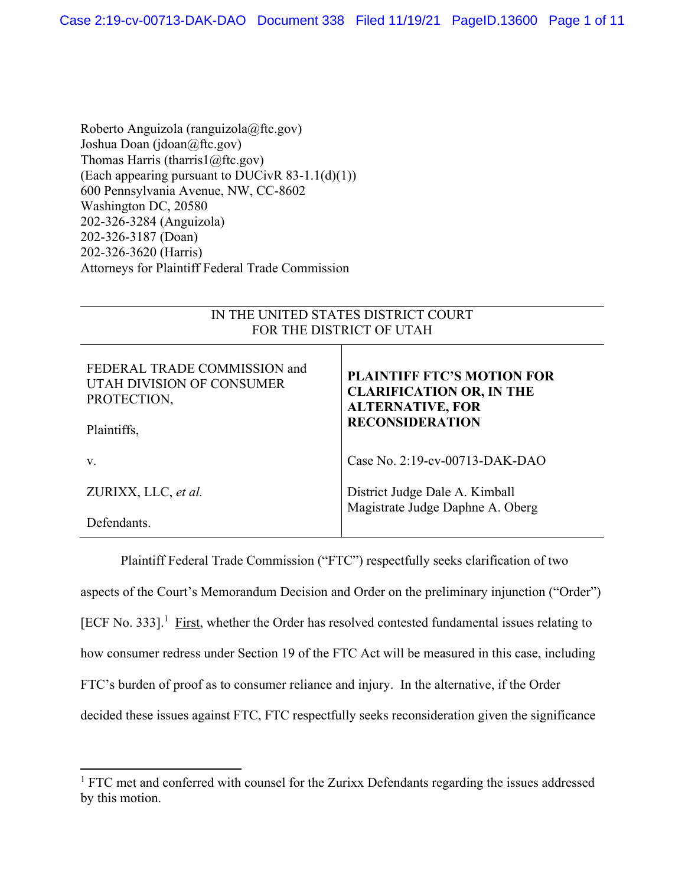Roberto Anguizola (ranguizola@ftc.gov) Joshua Doan (jdoan@ftc.gov) Thomas Harris (tharris1@ftc.gov) (Each appearing pursuant to DUCivR 83-1.1(d)(1)) 600 Pennsylvania Avenue, NW, CC-8602 Washington DC, 20580 202-326-3284 (Anguizola) 202-326-3187 (Doan) 202-326-3620 (Harris) Attorneys for Plaintiff Federal Trade Commission

| IN THE UNITED STATES DISTRICT COURT<br>FOR THE DISTRICT OF UTAH                         |                                                                                                                           |
|-----------------------------------------------------------------------------------------|---------------------------------------------------------------------------------------------------------------------------|
| FEDERAL TRADE COMMISSION and<br>UTAH DIVISION OF CONSUMER<br>PROTECTION,<br>Plaintiffs, | <b>PLAINTIFF FTC'S MOTION FOR</b><br><b>CLARIFICATION OR, IN THE</b><br><b>ALTERNATIVE, FOR</b><br><b>RECONSIDERATION</b> |
| V.                                                                                      | Case No. 2:19-cv-00713-DAK-DAO                                                                                            |
| ZURIXX, LLC, et al.                                                                     | District Judge Dale A. Kimball<br>Magistrate Judge Daphne A. Oberg                                                        |
| Defendants.                                                                             |                                                                                                                           |

 Plaintiff Federal Trade Commission ("FTC") respectfully seeks clarification of two aspects of the Court's Memorandum Decision and Order on the preliminary injunction ("Order") [ECF No. 333].<sup>1</sup> First, whether the Order has resolved contested fundamental issues relating to how consumer redress under Section 19 of the FTC Act will be measured in this case, including FTC's burden of proof as to consumer reliance and injury. In the alternative, if the Order decided these issues against FTC, FTC respectfully seeks reconsideration given the significance

 $1$  FTC met and conferred with counsel for the Zurixx Defendants regarding the issues addressed by this motion.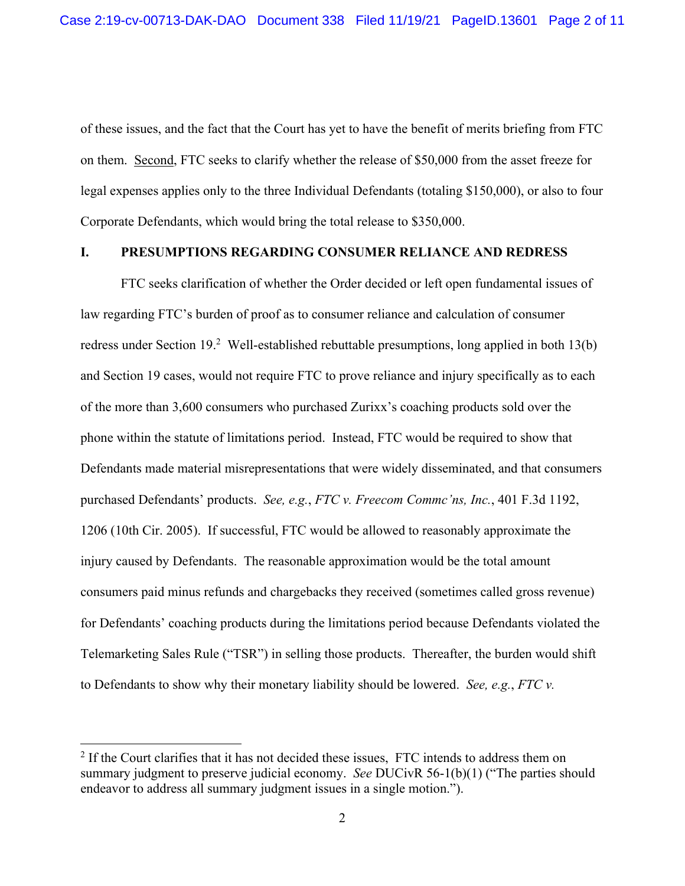of these issues, and the fact that the Court has yet to have the benefit of merits briefing from FTC on them. Second, FTC seeks to clarify whether the release of \$50,000 from the asset freeze for legal expenses applies only to the three Individual Defendants (totaling \$150,000), or also to four Corporate Defendants, which would bring the total release to \$350,000.

## **I. PRESUMPTIONS REGARDING CONSUMER RELIANCE AND REDRESS**

FTC seeks clarification of whether the Order decided or left open fundamental issues of law regarding FTC's burden of proof as to consumer reliance and calculation of consumer redress under Section 19.<sup>2</sup> Well-established rebuttable presumptions, long applied in both 13(b) and Section 19 cases, would not require FTC to prove reliance and injury specifically as to each of the more than 3,600 consumers who purchased Zurixx's coaching products sold over the phone within the statute of limitations period. Instead, FTC would be required to show that Defendants made material misrepresentations that were widely disseminated, and that consumers purchased Defendants' products. *See, e.g.*, *FTC v. Freecom Commc'ns, Inc.*, 401 F.3d 1192, 1206 (10th Cir. 2005). If successful, FTC would be allowed to reasonably approximate the injury caused by Defendants. The reasonable approximation would be the total amount consumers paid minus refunds and chargebacks they received (sometimes called gross revenue) for Defendants' coaching products during the limitations period because Defendants violated the Telemarketing Sales Rule ("TSR") in selling those products. Thereafter, the burden would shift to Defendants to show why their monetary liability should be lowered. *See, e.g.*, *FTC v.* 

 $2$  If the Court clarifies that it has not decided these issues, FTC intends to address them on summary judgment to preserve judicial economy. *See* DUCivR 56-1(b)(1) ("The parties should endeavor to address all summary judgment issues in a single motion.").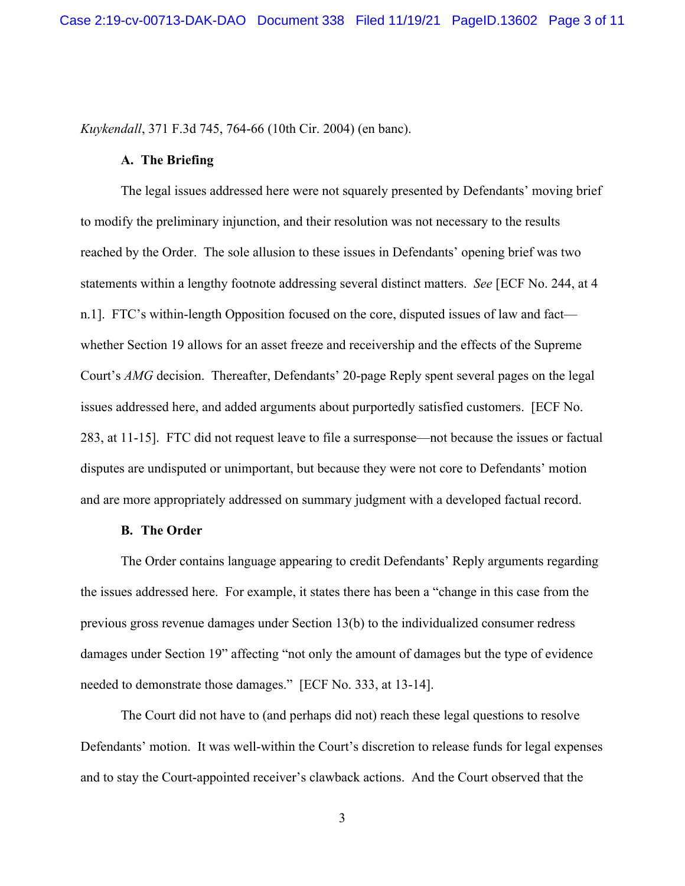*Kuykendall*, 371 F.3d 745, 764-66 (10th Cir. 2004) (en banc).

#### **A. The Briefing**

The legal issues addressed here were not squarely presented by Defendants' moving brief to modify the preliminary injunction, and their resolution was not necessary to the results reached by the Order. The sole allusion to these issues in Defendants' opening brief was two statements within a lengthy footnote addressing several distinct matters. *See* [ECF No. 244, at 4 n.1]. FTC's within-length Opposition focused on the core, disputed issues of law and fact whether Section 19 allows for an asset freeze and receivership and the effects of the Supreme Court's *AMG* decision. Thereafter, Defendants' 20-page Reply spent several pages on the legal issues addressed here, and added arguments about purportedly satisfied customers. [ECF No. 283, at 11-15]. FTC did not request leave to file a surresponse—not because the issues or factual disputes are undisputed or unimportant, but because they were not core to Defendants' motion and are more appropriately addressed on summary judgment with a developed factual record.

#### **B. The Order**

The Order contains language appearing to credit Defendants' Reply arguments regarding the issues addressed here. For example, it states there has been a "change in this case from the previous gross revenue damages under Section 13(b) to the individualized consumer redress damages under Section 19" affecting "not only the amount of damages but the type of evidence needed to demonstrate those damages." [ECF No. 333, at 13-14].

The Court did not have to (and perhaps did not) reach these legal questions to resolve Defendants' motion. It was well-within the Court's discretion to release funds for legal expenses and to stay the Court-appointed receiver's clawback actions. And the Court observed that the

3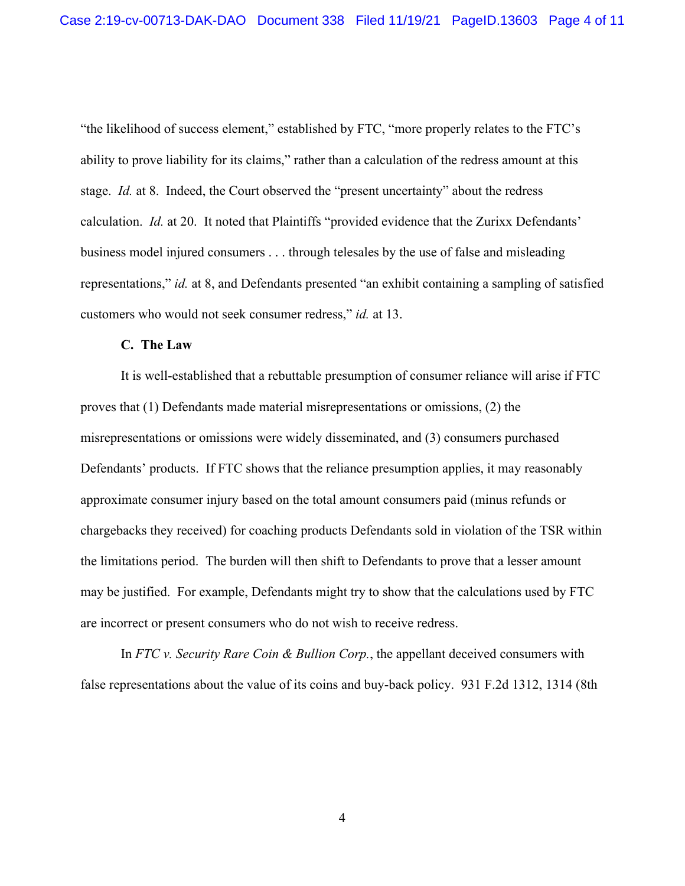"the likelihood of success element," established by FTC, "more properly relates to the FTC's ability to prove liability for its claims," rather than a calculation of the redress amount at this stage. *Id.* at 8. Indeed, the Court observed the "present uncertainty" about the redress calculation. *Id.* at 20. It noted that Plaintiffs "provided evidence that the Zurixx Defendants' business model injured consumers . . . through telesales by the use of false and misleading representations," *id.* at 8, and Defendants presented "an exhibit containing a sampling of satisfied customers who would not seek consumer redress," *id.* at 13.

## **C. The Law**

It is well-established that a rebuttable presumption of consumer reliance will arise if FTC proves that (1) Defendants made material misrepresentations or omissions, (2) the misrepresentations or omissions were widely disseminated, and (3) consumers purchased Defendants' products. If FTC shows that the reliance presumption applies, it may reasonably approximate consumer injury based on the total amount consumers paid (minus refunds or chargebacks they received) for coaching products Defendants sold in violation of the TSR within the limitations period. The burden will then shift to Defendants to prove that a lesser amount may be justified. For example, Defendants might try to show that the calculations used by FTC are incorrect or present consumers who do not wish to receive redress.

In *FTC v. Security Rare Coin & Bullion Corp.*, the appellant deceived consumers with false representations about the value of its coins and buy-back policy. 931 F.2d 1312, 1314 (8th

4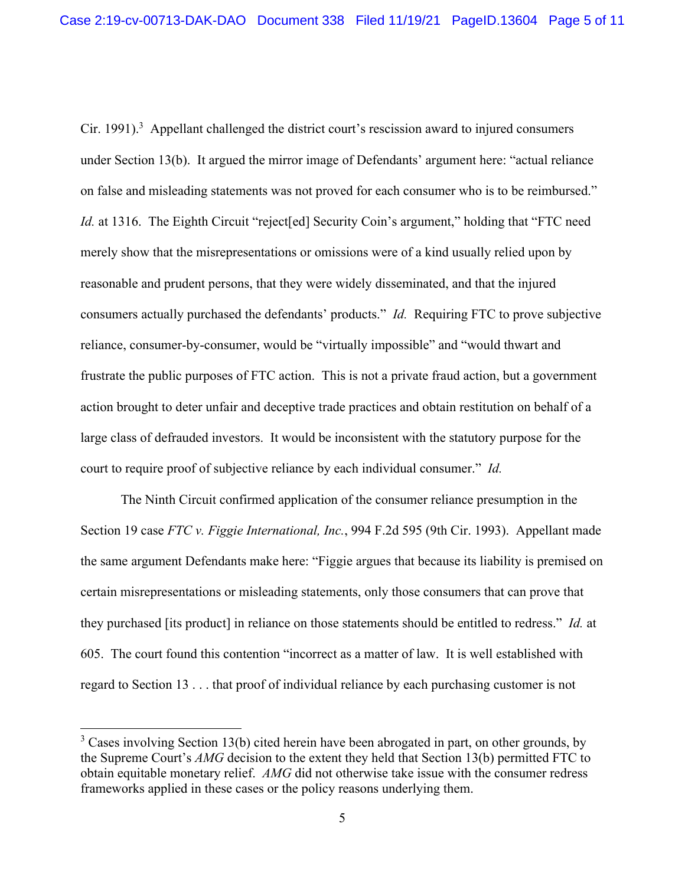Cir. 1991).<sup>3</sup> Appellant challenged the district court's rescission award to injured consumers under Section 13(b). It argued the mirror image of Defendants' argument here: "actual reliance on false and misleading statements was not proved for each consumer who is to be reimbursed." *Id.* at 1316. The Eighth Circuit "reject [ed] Security Coin's argument," holding that "FTC need merely show that the misrepresentations or omissions were of a kind usually relied upon by reasonable and prudent persons, that they were widely disseminated, and that the injured consumers actually purchased the defendants' products." *Id.* Requiring FTC to prove subjective reliance, consumer-by-consumer, would be "virtually impossible" and "would thwart and frustrate the public purposes of FTC action. This is not a private fraud action, but a government action brought to deter unfair and deceptive trade practices and obtain restitution on behalf of a large class of defrauded investors. It would be inconsistent with the statutory purpose for the court to require proof of subjective reliance by each individual consumer." *Id.* 

The Ninth Circuit confirmed application of the consumer reliance presumption in the Section 19 case *FTC v. Figgie International, Inc.*, 994 F.2d 595 (9th Cir. 1993). Appellant made the same argument Defendants make here: "Figgie argues that because its liability is premised on certain misrepresentations or misleading statements, only those consumers that can prove that they purchased [its product] in reliance on those statements should be entitled to redress." *Id.* at 605. The court found this contention "incorrect as a matter of law. It is well established with regard to Section 13 . . . that proof of individual reliance by each purchasing customer is not

 $3$  Cases involving Section 13(b) cited herein have been abrogated in part, on other grounds, by the Supreme Court's *AMG* decision to the extent they held that Section 13(b) permitted FTC to obtain equitable monetary relief. *AMG* did not otherwise take issue with the consumer redress frameworks applied in these cases or the policy reasons underlying them.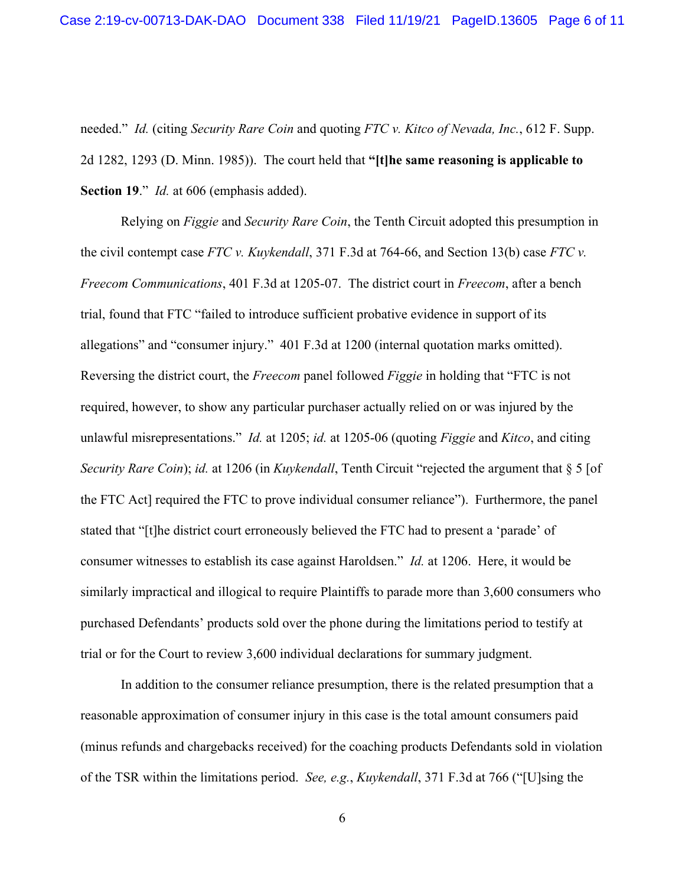needed." *Id.* (citing *Security Rare Coin* and quoting *FTC v. Kitco of Nevada, Inc.*, 612 F. Supp. 2d 1282, 1293 (D. Minn. 1985)). The court held that **"[t]he same reasoning is applicable to Section 19**." *Id.* at 606 (emphasis added).

Relying on *Figgie* and *Security Rare Coin*, the Tenth Circuit adopted this presumption in the civil contempt case *FTC v. Kuykendall*, 371 F.3d at 764-66, and Section 13(b) case *FTC v. Freecom Communications*, 401 F.3d at 1205-07. The district court in *Freecom*, after a bench trial, found that FTC "failed to introduce sufficient probative evidence in support of its allegations" and "consumer injury." 401 F.3d at 1200 (internal quotation marks omitted). Reversing the district court, the *Freecom* panel followed *Figgie* in holding that "FTC is not required, however, to show any particular purchaser actually relied on or was injured by the unlawful misrepresentations." *Id.* at 1205; *id.* at 1205-06 (quoting *Figgie* and *Kitco*, and citing *Security Rare Coin*); *id.* at 1206 (in *Kuykendall*, Tenth Circuit "rejected the argument that § 5 [of the FTC Act] required the FTC to prove individual consumer reliance"). Furthermore, the panel stated that "[t]he district court erroneously believed the FTC had to present a 'parade' of consumer witnesses to establish its case against Haroldsen." *Id.* at 1206.Here, it would be similarly impractical and illogical to require Plaintiffs to parade more than 3,600 consumers who purchased Defendants' products sold over the phone during the limitations period to testify at trial or for the Court to review 3,600 individual declarations for summary judgment.

In addition to the consumer reliance presumption, there is the related presumption that a reasonable approximation of consumer injury in this case is the total amount consumers paid (minus refunds and chargebacks received) for the coaching products Defendants sold in violation of the TSR within the limitations period. *See, e.g.*, *Kuykendall*, 371 F.3d at 766 ("[U]sing the

6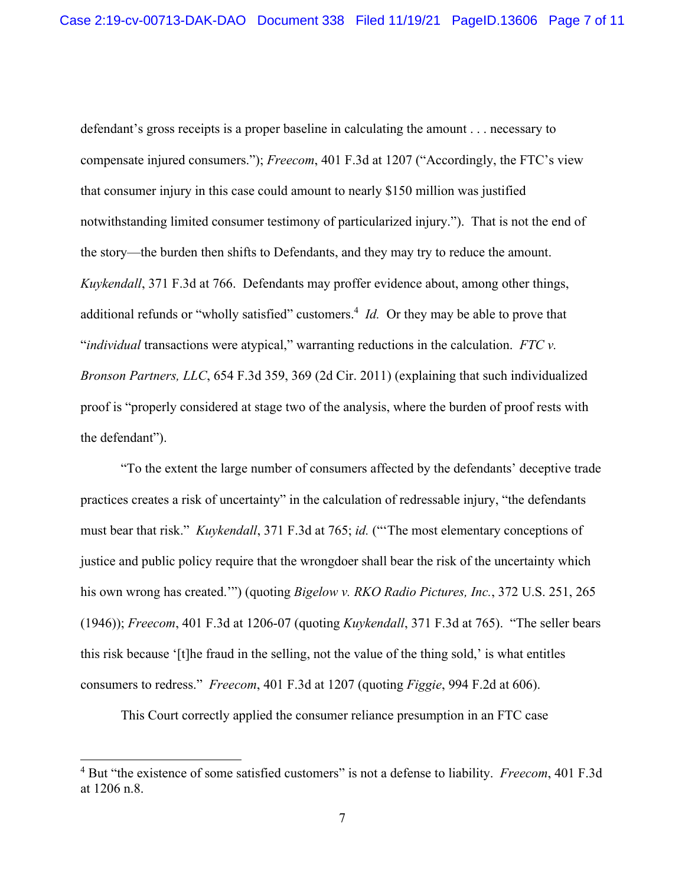defendant's gross receipts is a proper baseline in calculating the amount . . . necessary to compensate injured consumers."); *Freecom*, 401 F.3d at 1207 ("Accordingly, the FTC's view that consumer injury in this case could amount to nearly \$150 million was justified notwithstanding limited consumer testimony of particularized injury."). That is not the end of the story—the burden then shifts to Defendants, and they may try to reduce the amount. *Kuykendall*, 371 F.3d at 766. Defendants may proffer evidence about, among other things, additional refunds or "wholly satisfied" customers.<sup>4</sup> *Id*. Or they may be able to prove that "*individual* transactions were atypical," warranting reductions in the calculation. *FTC v. Bronson Partners, LLC*, 654 F.3d 359, 369 (2d Cir. 2011) (explaining that such individualized proof is "properly considered at stage two of the analysis, where the burden of proof rests with the defendant").

"To the extent the large number of consumers affected by the defendants' deceptive trade practices creates a risk of uncertainty" in the calculation of redressable injury, "the defendants must bear that risk." *Kuykendall*, 371 F.3d at 765; *id.* ("'The most elementary conceptions of justice and public policy require that the wrongdoer shall bear the risk of the uncertainty which his own wrong has created.'") (quoting *Bigelow v. RKO Radio Pictures, Inc.*, 372 U.S. 251, 265 (1946)); *Freecom*, 401 F.3d at 1206-07 (quoting *Kuykendall*, 371 F.3d at 765). "The seller bears this risk because '[t]he fraud in the selling, not the value of the thing sold,' is what entitles consumers to redress." *Freecom*, 401 F.3d at 1207 (quoting *Figgie*, 994 F.2d at 606).

This Court correctly applied the consumer reliance presumption in an FTC case

<sup>4</sup> But "the existence of some satisfied customers" is not a defense to liability. *Freecom*, 401 F.3d at 1206 n.8.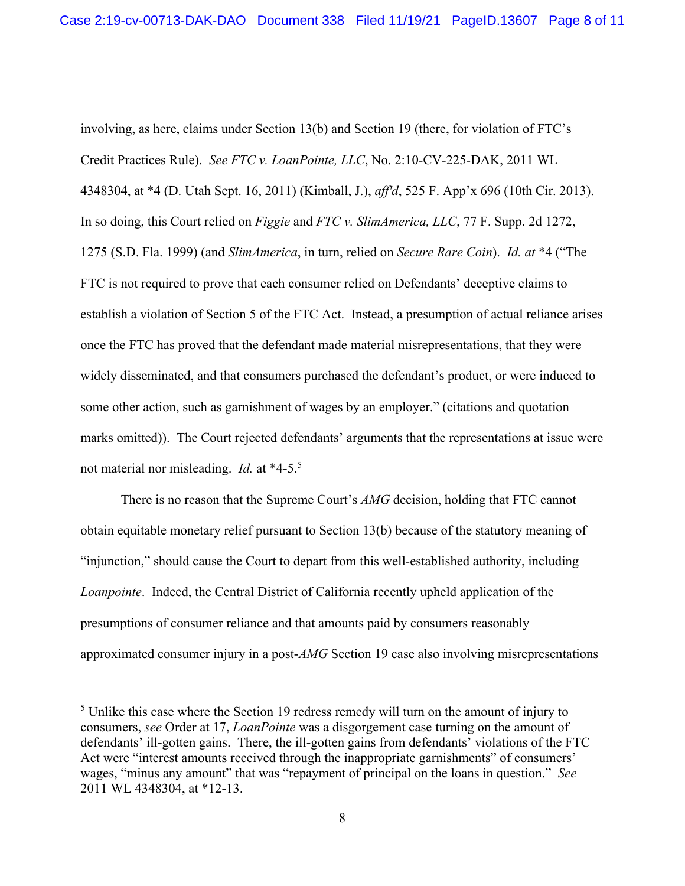involving, as here, claims under Section 13(b) and Section 19 (there, for violation of FTC's Credit Practices Rule). *See FTC v. LoanPointe, LLC*, No. 2:10-CV-225-DAK, 2011 WL 4348304, at \*4 (D. Utah Sept. 16, 2011) (Kimball, J.), *aff'd*, 525 F. App'x 696 (10th Cir. 2013). In so doing, this Court relied on *Figgie* and *FTC v. SlimAmerica, LLC*, 77 F. Supp. 2d 1272, 1275 (S.D. Fla. 1999) (and *SlimAmerica*, in turn, relied on *Secure Rare Coin*). *Id. at* \*4 ("The FTC is not required to prove that each consumer relied on Defendants' deceptive claims to establish a violation of Section 5 of the FTC Act. Instead, a presumption of actual reliance arises once the FTC has proved that the defendant made material misrepresentations, that they were widely disseminated, and that consumers purchased the defendant's product, or were induced to some other action, such as garnishment of wages by an employer." (citations and quotation marks omitted)). The Court rejected defendants' arguments that the representations at issue were not material nor misleading. *Id.* at \*4-5.5

There is no reason that the Supreme Court's *AMG* decision, holding that FTC cannot obtain equitable monetary relief pursuant to Section 13(b) because of the statutory meaning of "injunction," should cause the Court to depart from this well-established authority, including *Loanpointe*. Indeed, the Central District of California recently upheld application of the presumptions of consumer reliance and that amounts paid by consumers reasonably approximated consumer injury in a post-*AMG* Section 19 case also involving misrepresentations

 $<sup>5</sup>$  Unlike this case where the Section 19 redress remedy will turn on the amount of injury to</sup> consumers, *see* Order at 17, *LoanPointe* was a disgorgement case turning on the amount of defendants' ill-gotten gains. There, the ill-gotten gains from defendants' violations of the FTC Act were "interest amounts received through the inappropriate garnishments" of consumers' wages, "minus any amount" that was "repayment of principal on the loans in question." *See*  2011 WL 4348304, at \*12-13.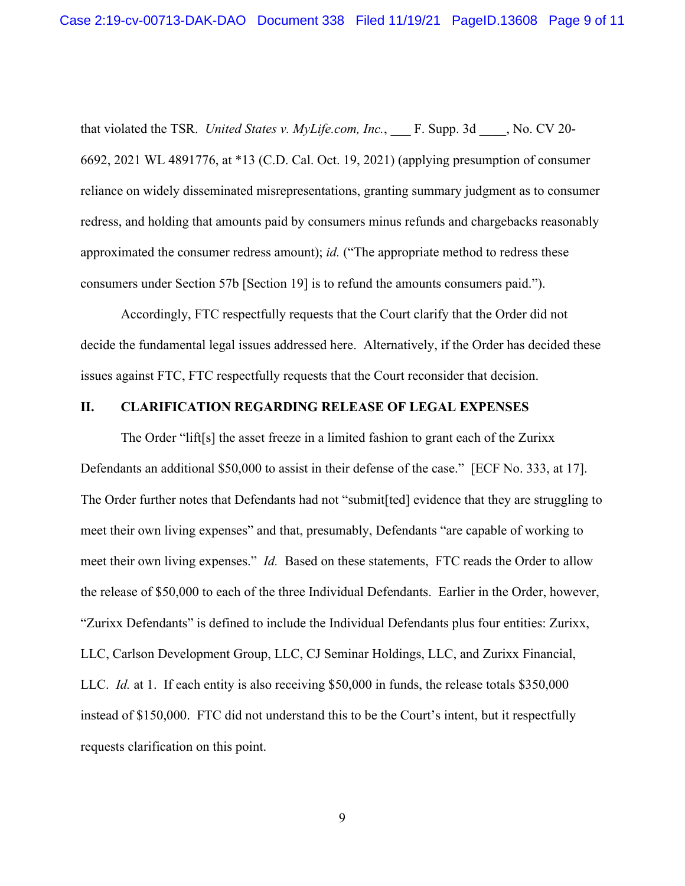that violated the TSR. *United States v. MyLife.com, Inc.*, F. Supp. 3d , No. CV 20-6692, 2021 WL 4891776, at \*13 (C.D. Cal. Oct. 19, 2021) (applying presumption of consumer reliance on widely disseminated misrepresentations, granting summary judgment as to consumer redress, and holding that amounts paid by consumers minus refunds and chargebacks reasonably approximated the consumer redress amount); *id.* ("The appropriate method to redress these consumers under Section 57b [Section 19] is to refund the amounts consumers paid.").

Accordingly, FTC respectfully requests that the Court clarify that the Order did not decide the fundamental legal issues addressed here. Alternatively, if the Order has decided these issues against FTC, FTC respectfully requests that the Court reconsider that decision.

## **II. CLARIFICATION REGARDING RELEASE OF LEGAL EXPENSES**

The Order "lift[s] the asset freeze in a limited fashion to grant each of the Zurixx Defendants an additional \$50,000 to assist in their defense of the case." [ECF No. 333, at 17]. The Order further notes that Defendants had not "submit[ted] evidence that they are struggling to meet their own living expenses" and that, presumably, Defendants "are capable of working to meet their own living expenses." *Id.* Based on these statements, FTC reads the Order to allow the release of \$50,000 to each of the three Individual Defendants. Earlier in the Order, however, "Zurixx Defendants" is defined to include the Individual Defendants plus four entities: Zurixx, LLC, Carlson Development Group, LLC, CJ Seminar Holdings, LLC, and Zurixx Financial, LLC. *Id.* at 1. If each entity is also receiving \$50,000 in funds, the release totals \$350,000 instead of \$150,000. FTC did not understand this to be the Court's intent, but it respectfully requests clarification on this point.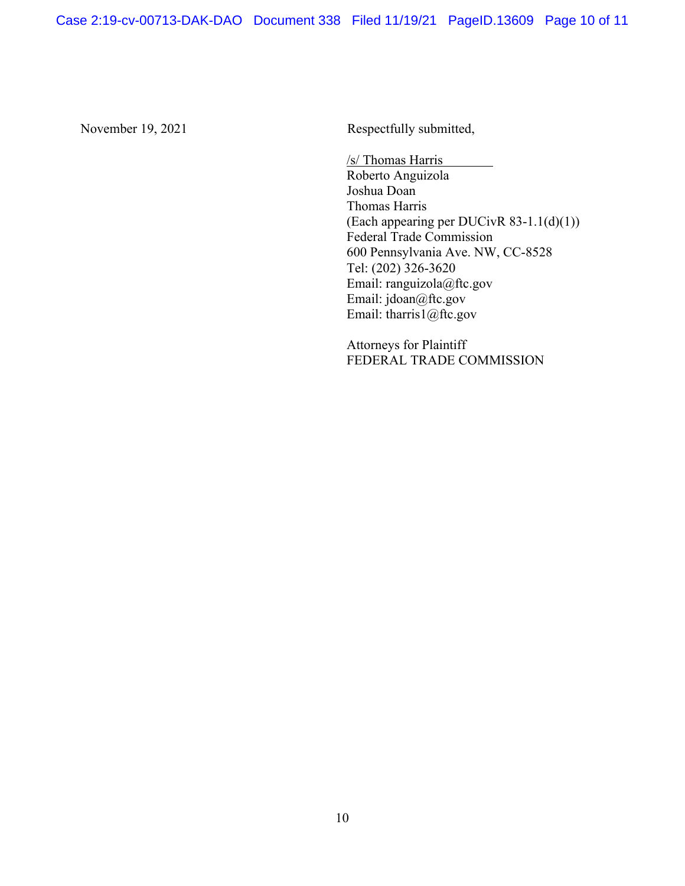November 19, 2021 Respectfully submitted,

 /s/ Thomas Harris Roberto Anguizola Joshua Doan Thomas Harris (Each appearing per DUCivR 83-1.1(d)(1)) Federal Trade Commission 600 Pennsylvania Ave. NW, CC-8528 Tel: (202) 326-3620 Email: ranguizola@ftc.gov Email: jdoan@ftc.gov Email: tharris1@ftc.gov

Attorneys for Plaintiff FEDERAL TRADE COMMISSION